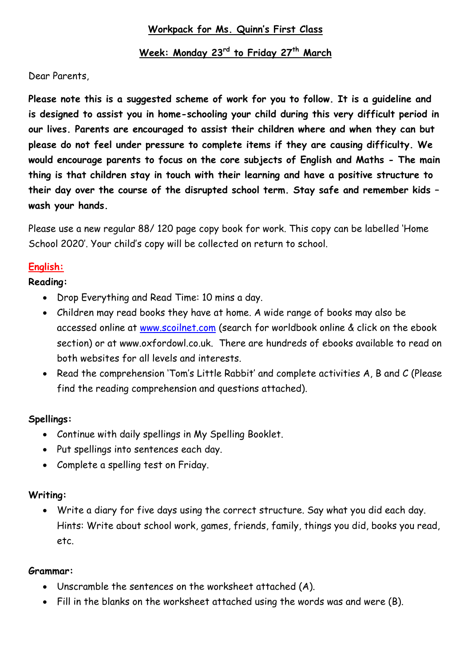## **Workpack for Ms. Quinn's First Class**

# **Week: Monday 23rd to Friday 27th March**

Dear Parents,

**Please note this is a suggested scheme of work for you to follow. It is a guideline and is designed to assist you in home-schooling your child during this very difficult period in our lives. Parents are encouraged to assist their children where and when they can but please do not feel under pressure to complete items if they are causing difficulty. We would encourage parents to focus on the core subjects of English and Maths - The main thing is that children stay in touch with their learning and have a positive structure to their day over the course of the disrupted school term. Stay safe and remember kids – wash your hands.**

Please use a new regular 88/ 120 page copy book for work. This copy can be labelled 'Home School 2020'. Your child's copy will be collected on return to school.

## **English:**

## **Reading:**

- Drop Everything and Read Time: 10 mins a day.
- Children may read books they have at home. A wide range of books may also be accessed online at [www.scoilnet.com](http://www.scoilnet.com/) (search for worldbook online & click on the ebook section) or at www.oxfordowl.co.uk. There are hundreds of ebooks available to read on both websites for all levels and interests.
- Read the comprehension 'Tom's Little Rabbit' and complete activities A, B and C (Please find the reading comprehension and questions attached).

## **Spellings:**

- Continue with daily spellings in My Spelling Booklet.
- Put spellings into sentences each day.
- Complete a spelling test on Friday.

## **Writing:**

 Write a diary for five days using the correct structure. Say what you did each day. Hints: Write about school work, games, friends, family, things you did, books you read, etc.

## **Grammar:**

- Unscramble the sentences on the worksheet attached (A).
- Fill in the blanks on the worksheet attached using the words was and were (B).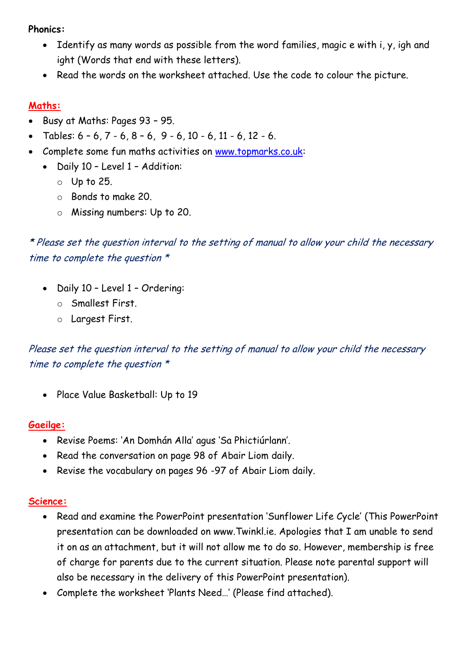#### **Phonics:**

- Identify as many words as possible from the word families, magic e with i, y, igh and ight (Words that end with these letters).
- Read the words on the worksheet attached. Use the code to colour the picture.

## **Maths:**

- Busy at Maths: Pages 93 95.
- Tables:  $6 6$ ,  $7 6$ ,  $8 6$ ,  $9 6$ ,  $10 6$ ,  $11 6$ ,  $12 6$ .
- Complete some fun maths activities on [www.topmarks.co.uk:](http://www.topmarks.co.uk/)
	- Daily 10 Level 1 Addition:
		- o Up to 25.
		- o Bonds to make 20.
		- o Missing numbers: Up to 20.

\* Please set the question interval to the setting of manual to allow your child the necessary time to complete the question \*

- Daily 10 Level 1 Ordering:
	- o Smallest First.
	- o Largest First.

Please set the question interval to the setting of manual to allow your child the necessary time to complete the question \*

• Place Value Basketball: Up to 19

## **Gaeilge:**

- Revise Poems: 'An Domhán Alla' agus 'Sa Phictiúrlann'.
- Read the conversation on page 98 of Abair Liom daily.
- Revise the vocabulary on pages 96 -97 of Abair Liom daily.

## **Science:**

- Read and examine the PowerPoint presentation 'Sunflower Life Cycle' (This PowerPoint presentation can be downloaded on www.Twinkl.ie. Apologies that I am unable to send it on as an attachment, but it will not allow me to do so. However, membership is free of charge for parents due to the current situation. Please note parental support will also be necessary in the delivery of this PowerPoint presentation).
- Complete the worksheet 'Plants Need…' (Please find attached).